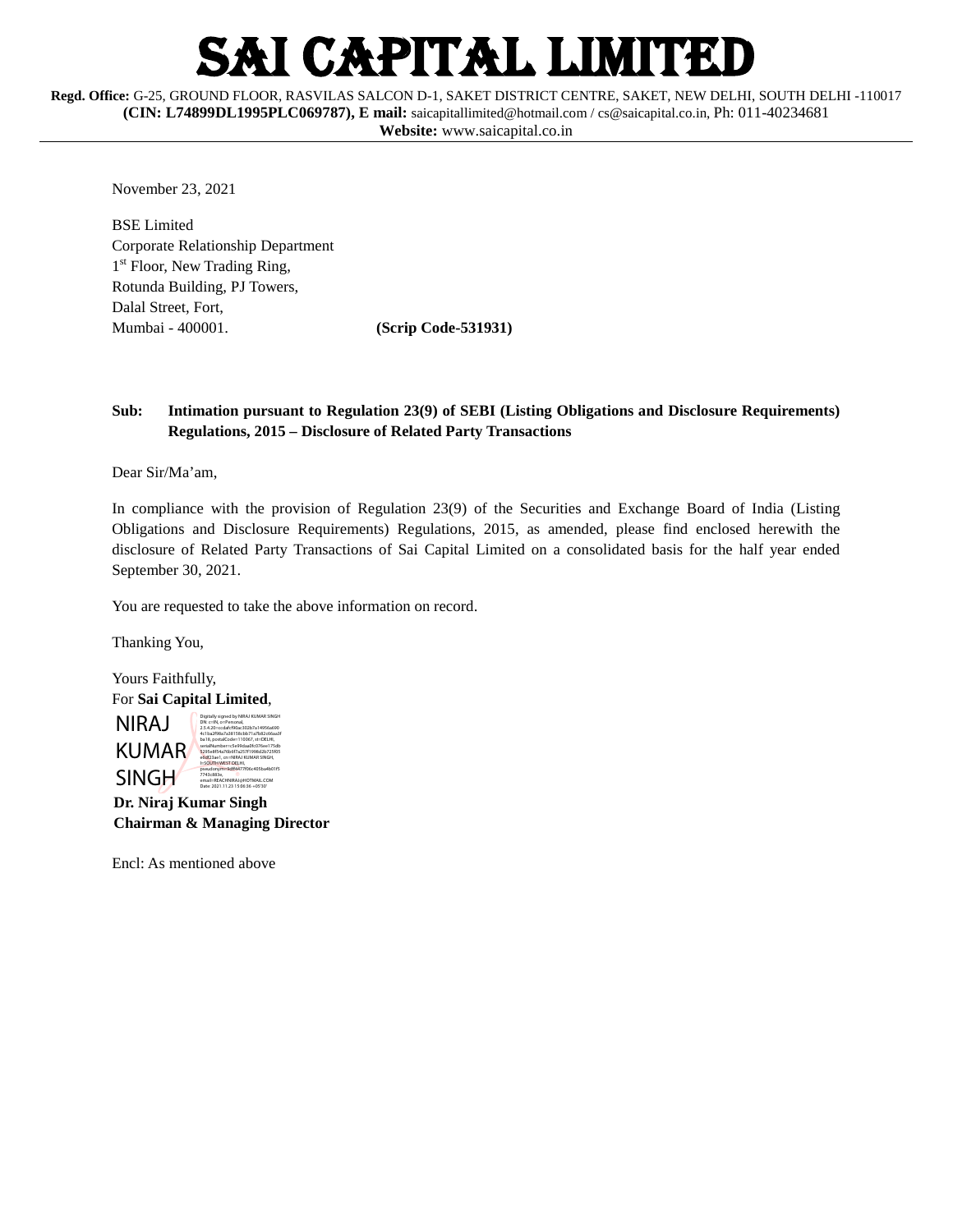# I CAPITAL LIMITED

**Regd. Office:** G-25, GROUND FLOOR, RASVILAS SALCON D-1, SAKET DISTRICT CENTRE, SAKET, NEW DELHI, SOUTH DELHI -110017 **(CIN: L74899DL1995PLC069787), E mail:** [saicapitallimited@hotmail.com](mailto:saicapitallimited@hotmail.com) [/ cs@saicapital.co.in,](mailto:cs@saicapital.co.in) Ph: 011-40234681 **Website:** www.saicapital.co.in

November 23, 2021

BSE Limited Corporate Relationship Department 1<sup>st</sup> Floor, New Trading Ring, Rotunda Building, PJ Towers, Dalal Street, Fort, Mumbai - 400001. **(Scrip Code-531931)**

#### **Sub: Intimation pursuant to Regulation 23(9) of SEBI (Listing Obligations and Disclosure Requirements) Regulations, 2015 – Disclosure of Related Party Transactions**

Dear Sir/Ma'am,

In compliance with the provision of Regulation 23(9) of the Securities and Exchange Board of India (Listing Obligations and Disclosure Requirements) Regulations, 2015, as amended, please find enclosed herewith the disclosure of Related Party Transactions of Sai Capital Limited on a consolidated basis for the half year ended September 30, 2021.

You are requested to take the above information on record.

Thanking You,

Yours Faithfully, For **Sai Capital Limited**, NIRAJ KUMAR SINGH Digitally signed by NIRAJ KUMAR SINGH DN: c=IN, o=Personal, 2.5.4.20=ccdafcf90ac302b7a14956a690 4c1ba2f98a7a38158cbb71a7b82c66aa3f ba18, postalCode=110067, st=DELHI, serialNumber=c5e99daa0fc076ee175db 5295e8f54a76b6f7a257f1998d2b725f05 e6df23ae1, cn=NIRAJ KUMAR SINGH, l=SOUTH WEST DELHI, pseudonym=9dff4477f06c405ba4b01f5

 **Dr. Niraj Kumar Singh Chairman & Managing Director**

7743c883e, email=REACHNIRAJ@HOTMAIL.COM Date: 2021.11.23 15:06:36 +05'30'

Encl: As mentioned above